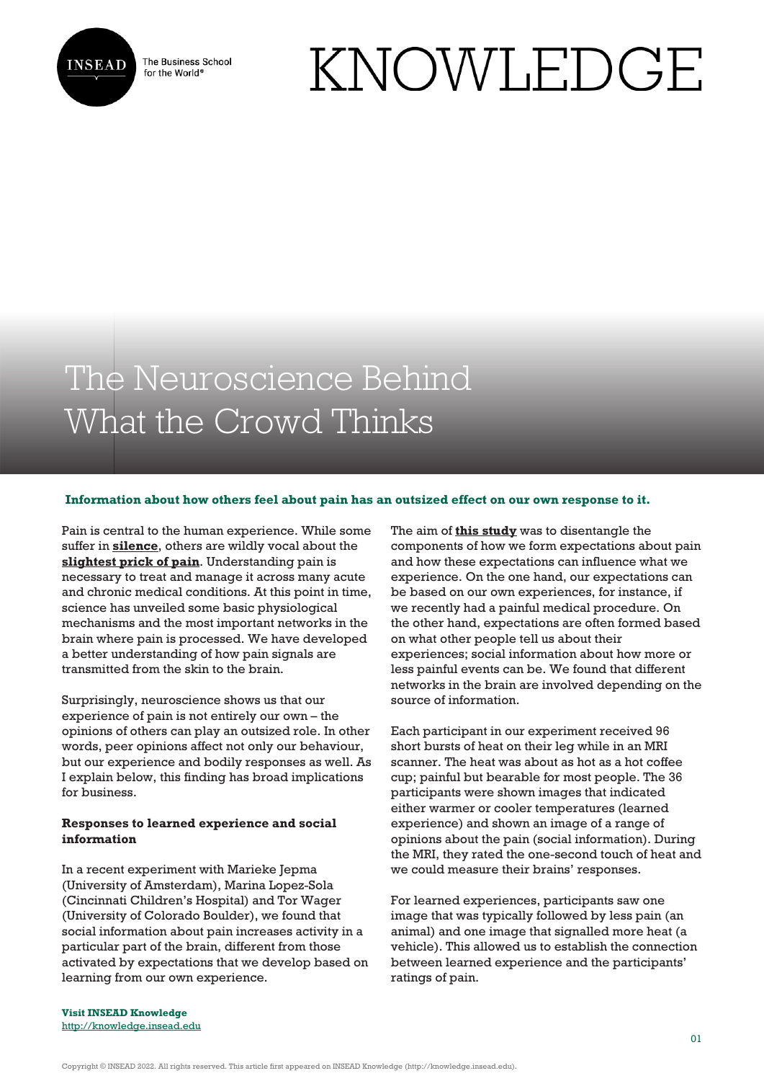

The Business School for the World<sup>®</sup>

# KNOWLEDGE

## The Neuroscience Behind What the Crowd Thinks

#### **Information about how others feel about pain has an outsized effect on our own response to it.**

Pain is central to the human experience. While some suffer in **[silence](https://www.webmd.com/pain-management/news/20060216/people-in-pain-often-suffer-silently)**, others are wildly vocal about the **[slightest prick of pain](https://www.npr.org/sections/health-shots/2019/03/09/700823481/invisibilia-for-some-teens-with-debilitating-pain-the-treatment-is-more-pain?t=1573140729646)**. Understanding pain is necessary to treat and manage it across many acute and chronic medical conditions. At this point in time, science has unveiled some basic physiological mechanisms and the most important networks in the brain where pain is processed. We have developed a better understanding of how pain signals are transmitted from the skin to the brain.

Surprisingly, neuroscience shows us that our experience of pain is not entirely our own – the opinions of others can play an outsized role. In other words, peer opinions affect not only our behaviour, but our experience and bodily responses as well. As I explain below, this finding has broad implications for business.

#### **Responses to learned experience and social information**

In a recent experiment with Marieke Jepma (University of Amsterdam), Marina Lopez-Sola (Cincinnati Children's Hospital) and Tor Wager (University of Colorado Boulder), we found that social information about pain increases activity in a particular part of the brain, different from those activated by expectations that we develop based on learning from our own experience.

The aim of **[this study](https://doi.org/10.1038/s41467-019-11934-y)** was to disentangle the components of how we form expectations about pain and how these expectations can influence what we experience. On the one hand, our expectations can be based on our own experiences, for instance, if we recently had a painful medical procedure. On the other hand, expectations are often formed based on what other people tell us about their experiences; social information about how more or less painful events can be. We found that different networks in the brain are involved depending on the source of information.

Each participant in our experiment received 96 short bursts of heat on their leg while in an MRI scanner. The heat was about as hot as a hot coffee cup; painful but bearable for most people. The 36 participants were shown images that indicated either warmer or cooler temperatures (learned experience) and shown an image of a range of opinions about the pain (social information). During the MRI, they rated the one-second touch of heat and we could measure their brains' responses.

For learned experiences, participants saw one image that was typically followed by less pain (an animal) and one image that signalled more heat (a vehicle). This allowed us to establish the connection between learned experience and the participants' ratings of pain.

**Visit INSEAD Knowledge** <http://knowledge.insead.edu>

Copyright © INSEAD 2022. All rights reserved. This article first appeared on INSEAD Knowledge (http://knowledge.insead.edu).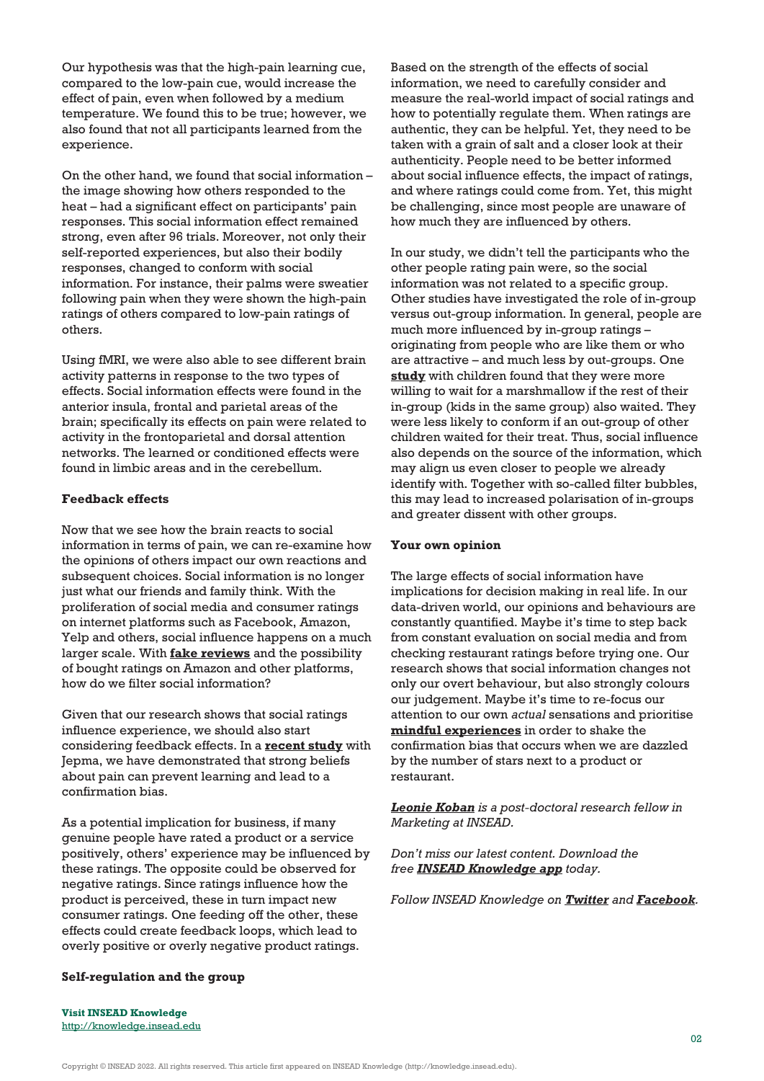Our hypothesis was that the high-pain learning cue, compared to the low-pain cue, would increase the effect of pain, even when followed by a medium temperature. We found this to be true; however, we also found that not all participants learned from the experience.

On the other hand, we found that social information – the image showing how others responded to the heat – had a significant effect on participants' pain responses. This social information effect remained strong, even after 96 trials. Moreover, not only their self-reported experiences, but also their bodily responses, changed to conform with social information. For instance, their palms were sweatier following pain when they were shown the high-pain ratings of others compared to low-pain ratings of others.

Using fMRI, we were also able to see different brain activity patterns in response to the two types of effects. Social information effects were found in the anterior insula, frontal and parietal areas of the brain; specifically its effects on pain were related to activity in the frontoparietal and dorsal attention networks. The learned or conditioned effects were found in limbic areas and in the cerebellum.

#### **Feedback effects**

Now that we see how the brain reacts to social information in terms of pain, we can re-examine how the opinions of others impact our own reactions and subsequent choices. Social information is no longer just what our friends and family think. With the proliferation of social media and consumer ratings on internet platforms such as Facebook, Amazon, Yelp and others, social influence happens on a much larger scale. With **[fake reviews](https://www.thetimes.co.uk/article/can-you-trust-the-reviews-on-amazon-h9t902fwq)** and the possibility of bought ratings on Amazon and other platforms, how do we filter social information?

Given that our research shows that social ratings influence experience, we should also start considering feedback effects. In a **[recent study](https://www.nature.com/articles/s41562-018-0455-8)** with Jepma, we have demonstrated that strong beliefs about pain can prevent learning and lead to a confirmation bias.

As a potential implication for business, if many genuine people have rated a product or a service positively, others' experience may be influenced by these ratings. The opposite could be observed for negative ratings. Since ratings influence how the product is perceived, these in turn impact new consumer ratings. One feeding off the other, these effects could create feedback loops, which lead to overly positive or overly negative product ratings.

Based on the strength of the effects of social information, we need to carefully consider and measure the real-world impact of social ratings and how to potentially regulate them. When ratings are authentic, they can be helpful. Yet, they need to be taken with a grain of salt and a closer look at their authenticity. People need to be better informed about social influence effects, the impact of ratings, and where ratings could come from. Yet, this might be challenging, since most people are unaware of how much they are influenced by others.

In our study, we didn't tell the participants who the other people rating pain were, so the social information was not related to a specific group. Other studies have investigated the role of in-group versus out-group information. In general, people are much more influenced by in-group ratings – originating from people who are like them or who are attractive – and much less by out-groups. One **[study](https://journals.sagepub.com/doi/10.1177/0956797617747367)** with children found that they were more willing to wait for a marshmallow if the rest of their in-group (kids in the same group) also waited. They were less likely to conform if an out-group of other children waited for their treat. Thus, social influence also depends on the source of the information, which may align us even closer to people we already identify with. Together with so-called filter bubbles, this may lead to increased polarisation of in-groups and greater dissent with other groups.

#### **Your own opinion**

The large effects of social information have implications for decision making in real life. In our data-driven world, our opinions and behaviours are constantly quantified. Maybe it's time to step back from constant evaluation on social media and from checking restaurant ratings before trying one. Our research shows that social information changes not only our overt behaviour, but also strongly colours our judgement. Maybe it's time to re-focus our attention to our own *actual* sensations and prioritise **[mindful experiences](https://onlinelibrary.wiley.com/doi/abs/10.1002/9781118294895.ch21)** in order to shake the confirmation bias that occurs when we are dazzled by the number of stars next to a product or restaurant.

*[Leonie Koban](https://www.insead.edu/faculty-research/faculty/leonie-koban) is a post-doctoral research fellow in Marketing at INSEAD.* 

*Don't miss our latest content. Download the free [INSEAD Knowledge app](https://knowledge.insead.edu/mobile-apps) today.*

*Follow INSEAD Knowledge on [Twitter](http://www.twitter.com/inseadknowledge) and [Facebook](http://www.facebook.com/Knowledge.insead).*

### **Self-regulation and the group**

**Visit INSEAD Knowledge** <http://knowledge.insead.edu>

Copyright © INSEAD 2022. All rights reserved. This article first appeared on INSEAD Knowledge (http://knowledge.insead.edu).